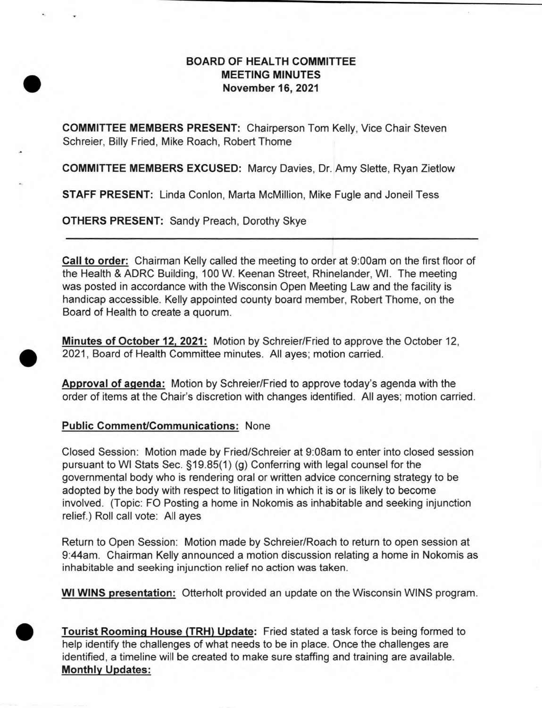## **BOARD OF HEALTH COMMITTEE MEETING MINUTES November 16, 2021**

**COMMITTEE MEMBERS PRESENT:** Chairperson Tom Kelly, Vice Chair Steven Schreier, Billy Fried, Mike Roach, Robert Thome

**COMMITTEE MEMBERS EXCUSED:** Marcy Davies, Dr. Amy Slette, Ryan Zietlow

**STAFF PRESENT:** Linda Conlon, Marta McMillion, Mike Fugle and Joneil Tess

**OTHERS PRESENT:** Sandy Preach, Dorothy Skye

**Call to order:** Chairman Kelly called the meeting to order at 9:00am on the first floor of the Health & ADRC Building, 100 W. Keenan Street, Rhinelander, WI. The meeting was posted in accordance with the Wisconsin Open Meeting Law and the facility is handicap accessible. Kelly appointed county board member, Robert Thome, on the Board of Health to create a quorum.

**Minutes of October 12, 2021:** Motion by Schreier/Fried to approve the October 12, 2021, Board of Health Committee minutes. All ayes; motion carried.

**Approval of agenda:** Motion by Schreier/Fried to approve today's agenda with the order of items at the Chair's discretion with changes identified. All ayes; motion carried.

## **Public Comment/Communications:** None

Closed Session: Motion made by Fried/Schreier at 9:08am to enter into closed session pursuant to WI Stats Sec. §19.85(1) (g) Conferring with legal counsel for the governmental body who is rendering oral or written advice concerning strategy to be adopted by the body with respect to litigation in which it is or is likely to become involved. (Topic: FO Posting a home in Nokomis as inhabitable and seeking injunction relief.) Roll call vote: All ayes

Return to Open Session: Motion made by Schreier/Roach to return to open session at 9:44am. Chairman Kelly announced a motion discussion relating a home in Nokomis as inhabitable and seeking injunction relief no action was taken.

**WI WINS presentation:** Otterholt provided an update on the Wisconsin WINS program.



**Tourist Rooming House (TRH) Update:** Fried stated a task force is being formed to help identify the challenges of what needs to be in place. Once the challenges are identified, a timeline will be created to make sure staffing and training are available. **Monthly Updates:**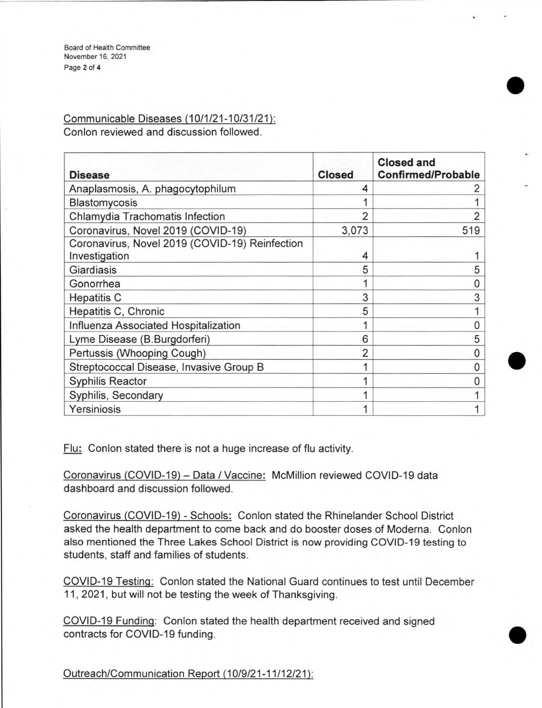Board of Health Committee November 16, 2021 Page 2 of **4** 

Communicable Diseases (10/1/21-10/31/21): Conlon reviewed and discussion followed.

| <b>Disease</b>                                                  | <b>Closed</b> | <b>Closed and</b><br><b>Confirmed/Probable</b> |
|-----------------------------------------------------------------|---------------|------------------------------------------------|
| Anaplasmosis, A. phagocytophilum                                | 4             |                                                |
| Blastomycosis                                                   |               |                                                |
| Chlamydia Trachomatis Infection                                 | 2             |                                                |
| Coronavirus, Novel 2019 (COVID-19)                              | 3,073         | 519                                            |
| Coronavirus, Novel 2019 (COVID-19) Reinfection<br>Investigation | 4             |                                                |
| Giardiasis                                                      | 5             | 5                                              |
| Gonorrhea                                                       |               |                                                |
| <b>Hepatitis C</b>                                              | 3             | 3                                              |
| Hepatitis C, Chronic                                            | 5             |                                                |
| Influenza Associated Hospitalization                            |               | Ω                                              |
| Lyme Disease (B.Burgdorferi)                                    | 6             | 5                                              |
| Pertussis (Whooping Cough)                                      | 2             | Ω                                              |
| Streptococcal Disease, Invasive Group B                         |               | N                                              |
| <b>Syphilis Reactor</b>                                         |               |                                                |
| Syphilis, Secondary                                             |               |                                                |
| Yersiniosis                                                     |               |                                                |

Flu: Conlon stated there is not a huge increase of flu activity.

Coronavirus (COVID-19) — Data / Vaccine: McMillion reviewed COVID-19 data dashboard and discussion followed.

Coronavirus (COVID-19) - Schools: Conlon stated the Rhinelander School District asked the health department to come back and do booster doses of Moderna. Conlon also mentioned the Three Lakes School District is now providing COVID-19 testing to students, staff and families of students.

COVID-19 Testing: Conlon stated the National Guard continues to test until December 11, 2021, but will not be testing the week of Thanksgiving.

COVID-19 Funding: Conlon stated the health department received and signed contracts for COVID-19 funding.

Outreach/Communication Report (10/9/21-11/12/21):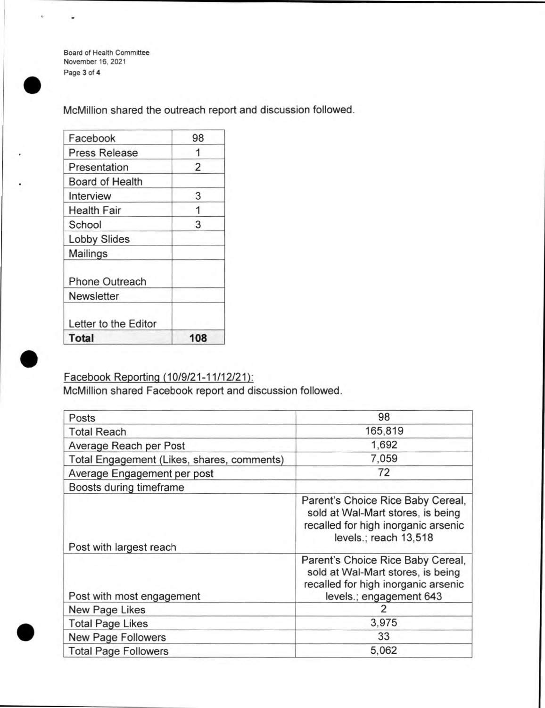Board of Health Committee November 16, 2021 Page 3 of **4** 

McMillion shared the outreach report and discussion followed.

| Facebook               | 98  |
|------------------------|-----|
| <b>Press Release</b>   |     |
| Presentation           | 2   |
| <b>Board of Health</b> |     |
| Interview              | 3   |
| <b>Health Fair</b>     |     |
| School                 | 3   |
| <b>Lobby Slides</b>    |     |
| Mailings               |     |
| <b>Phone Outreach</b>  |     |
| <b>Newsletter</b>      |     |
| Letter to the Editor   |     |
| <b>Total</b>           | 108 |

## Facebook Reporting (10/9/21-11/12/21):

McMillion shared Facebook report and discussion followed.

| Posts                                      | 98                                                                                                                                       |  |
|--------------------------------------------|------------------------------------------------------------------------------------------------------------------------------------------|--|
| <b>Total Reach</b>                         | 165,819                                                                                                                                  |  |
| Average Reach per Post                     | 1,692                                                                                                                                    |  |
| Total Engagement (Likes, shares, comments) | 7,059                                                                                                                                    |  |
| Average Engagement per post                | 72                                                                                                                                       |  |
| Boosts during timeframe                    |                                                                                                                                          |  |
| Post with largest reach                    | Parent's Choice Rice Baby Cereal,<br>sold at Wal-Mart stores, is being<br>recalled for high inorganic arsenic<br>levels.; reach 13,518   |  |
| Post with most engagement                  | Parent's Choice Rice Baby Cereal,<br>sold at Wal-Mart stores, is being<br>recalled for high inorganic arsenic<br>levels.; engagement 643 |  |
| New Page Likes                             | 2                                                                                                                                        |  |
| <b>Total Page Likes</b>                    | 3,975                                                                                                                                    |  |
| New Page Followers                         | 33                                                                                                                                       |  |
| <b>Total Page Followers</b>                | 5,062                                                                                                                                    |  |